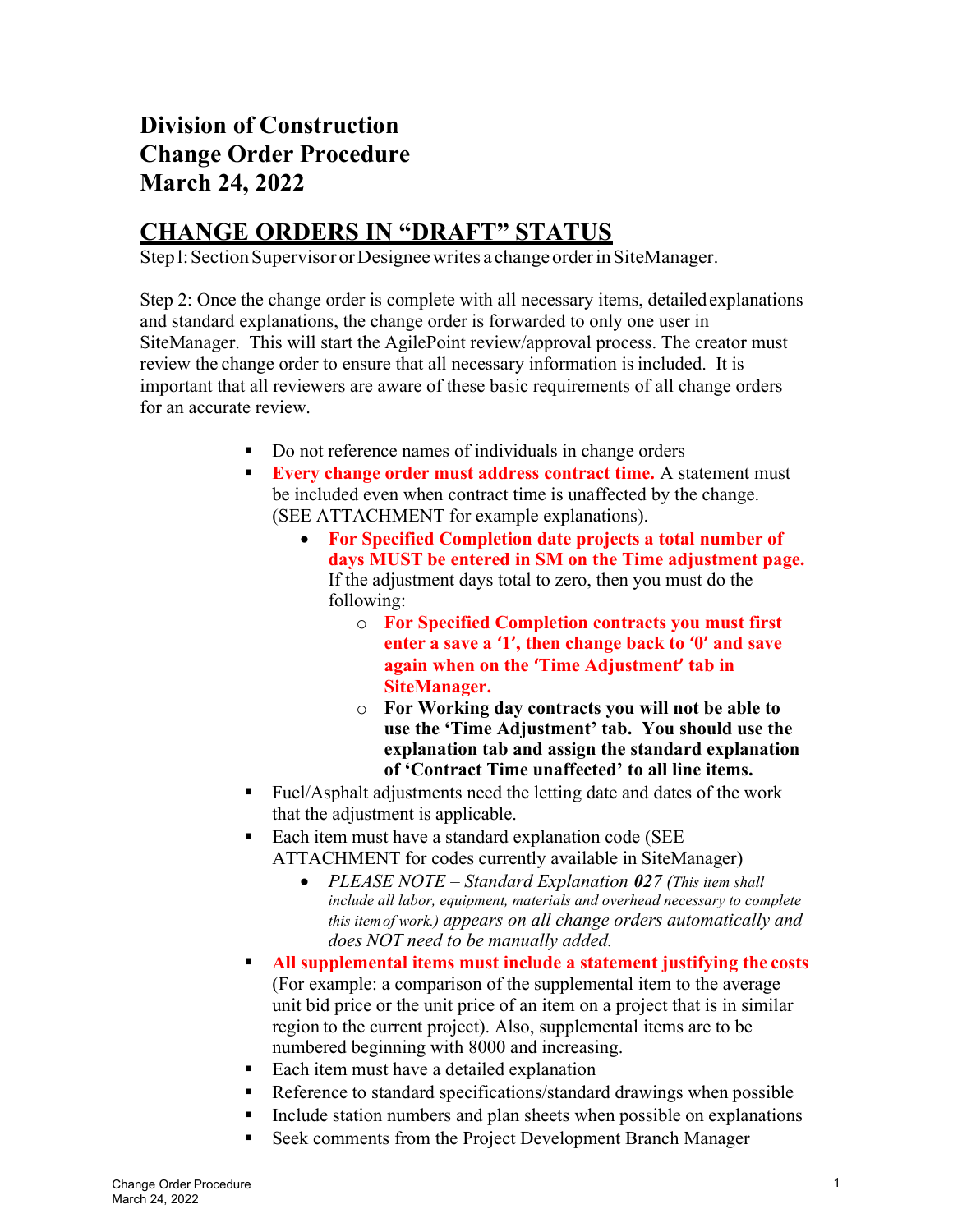# Division of Construction Change Order Procedure March 24, 2022

# CHANGE ORDERS IN "DRAFT" STATUS

Step l: Section Supervisor or Designee writes a change order in SiteManager.

Step 2: Once the change order is complete with all necessary items, detailed explanations and standard explanations, the change order is forwarded to only one user in SiteManager. This will start the AgilePoint review/approval process. The creator must review the change order to ensure that all necessary information is included. It is important that all reviewers are aware of these basic requirements of all change orders for an accurate review.

- Do not reference names of individuals in change orders
- **Every change order must address contract time.** A statement must be included even when contract time is unaffected by the change. (SEE ATTACHMENT for example explanations).
	- For Specified Completion date projects a total number of days MUST be entered in SM on the Time adjustment page. If the adjustment days total to zero, then you must do the following:
		- o For Specified Completion contracts you must first enter a save a '1', then change back to '0' and save again when on the 'Time Adjustment' tab in SiteManager.
		- o For Working day contracts you will not be able to use the 'Time Adjustment' tab. You should use the explanation tab and assign the standard explanation of 'Contract Time unaffected' to all line items.
- Fuel/Asphalt adjustments need the letting date and dates of the work that the adjustment is applicable.
- Each item must have a standard explanation code (SEE ATTACHMENT for codes currently available in SiteManager)
	- PLEASE NOTE Standard Explanation 027 (This item shall include all labor, equipment, materials and overhead necessary to complete this item of work.) appears on all change orders automatically and does NOT need to be manually added.
- All supplemental items must include a statement justifying the costs (For example: a comparison of the supplemental item to the average unit bid price or the unit price of an item on a project that is in similar region to the current project). Also, supplemental items are to be numbered beginning with 8000 and increasing.
- Each item must have a detailed explanation
- Reference to standard specifications/standard drawings when possible
- Include station numbers and plan sheets when possible on explanations
- Seek comments from the Project Development Branch Manager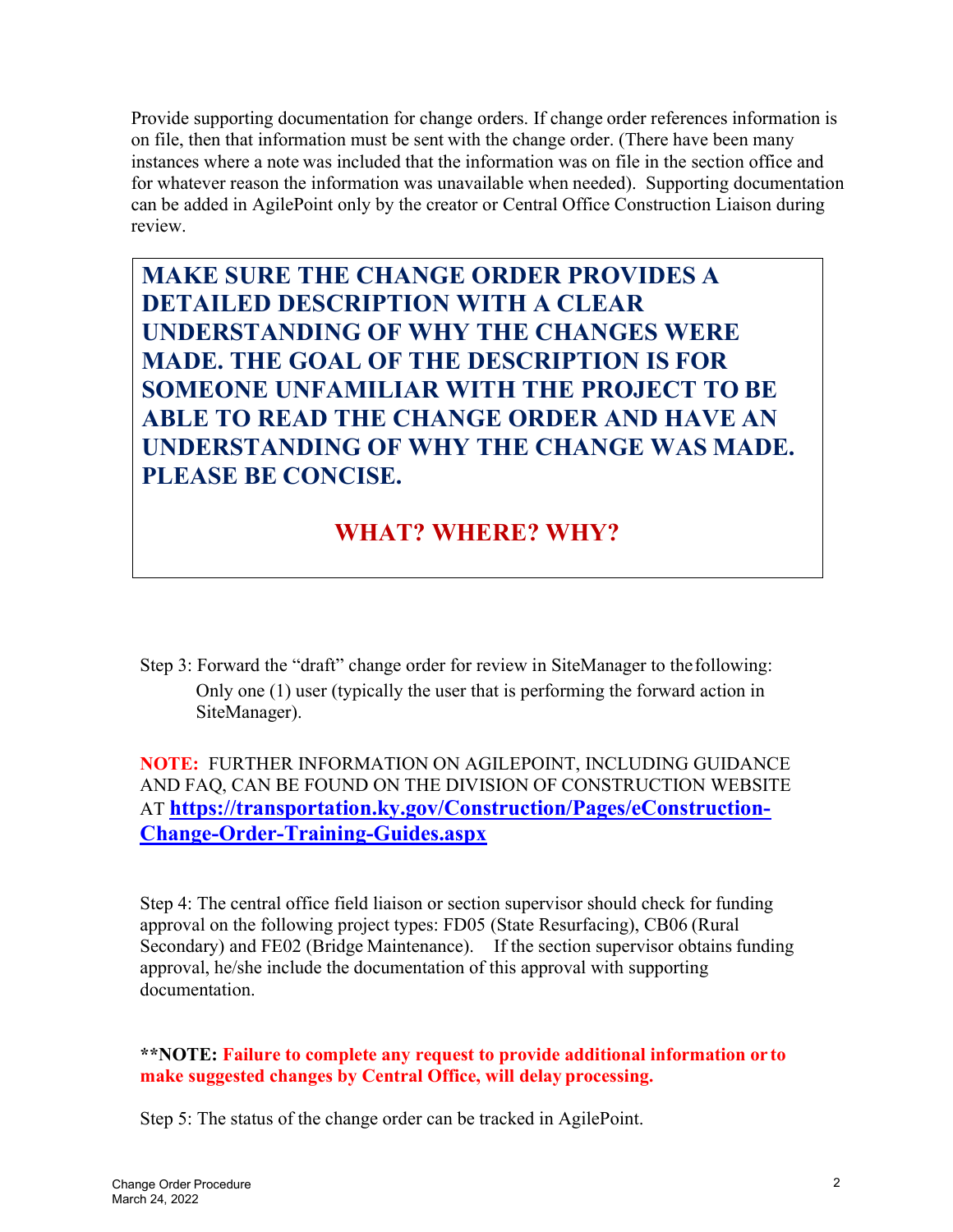Provide supporting documentation for change orders. If change order references information is on file, then that information must be sent with the change order. (There have been many instances where a note was included that the information was on file in the section office and for whatever reason the information was unavailable when needed). Supporting documentation can be added in AgilePoint only by the creator or Central Office Construction Liaison during review.

MAKE SURE THE CHANGE ORDER PROVIDES A DETAILED DESCRIPTION WITH A CLEAR UNDERSTANDING OF WHY THE CHANGES WERE MADE. THE GOAL OF THE DESCRIPTION IS FOR SOMEONE UNFAMILIAR WITH THE PROJECT TO BE ABLE TO READ THE CHANGE ORDER AND HAVE AN UNDERSTANDING OF WHY THE CHANGE WAS MADE. PLEASE BE CONCISE.

### WHAT? WHERE? WHY?

Step 3: Forward the "draft" change order for review in SiteManager to the following: Only one (1) user (typically the user that is performing the forward action in SiteManager).

NOTE: FURTHER INFORMATION ON AGILEPOINT, INCLUDING GUIDANCE AND FAQ, CAN BE FOUND ON THE DIVISION OF CONSTRUCTION WEBSITE AT https://transportation.ky.gov/Construction/Pages/eConstruction-Change-Order-Training-Guides.aspx

Step 4: The central office field liaison or section supervisor should check for funding approval on the following project types: FD05 (State Resurfacing), CB06 (Rural Secondary) and FE02 (Bridge Maintenance). If the section supervisor obtains funding approval, he/she include the documentation of this approval with supporting documentation.

\*\*NOTE: Failure to complete any request to provide additional information or to make suggested changes by Central Office, will delay processing.

Step 5: The status of the change order can be tracked in AgilePoint.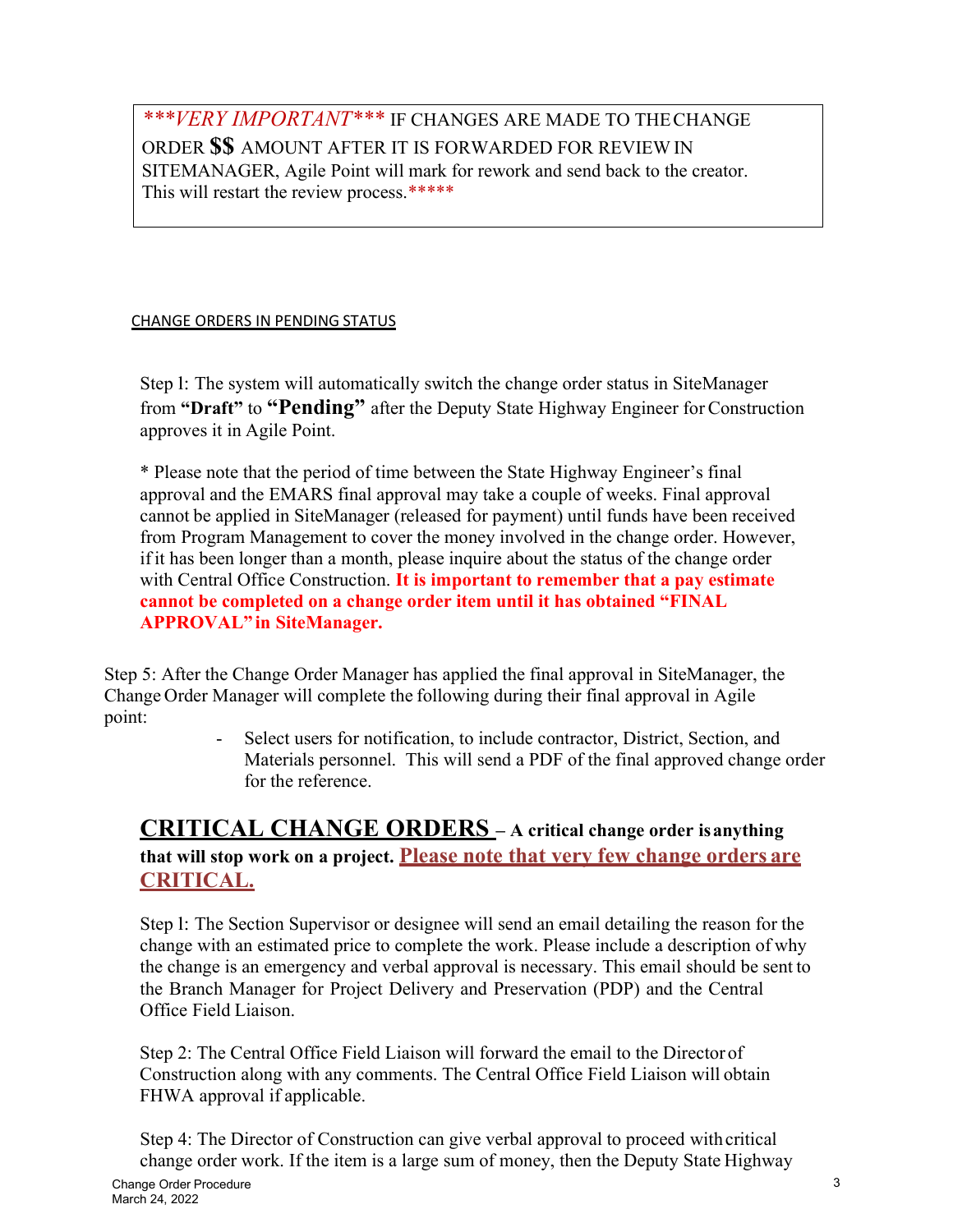#### \*\*\**VERY IMPORTANT*\*\*\* IF CHANGES ARE MADE TO THE CHANGE ORDER \$\$ AMOUNT AFTER IT IS FORWARDED FOR REVIEW IN SITEMANAGER, Agile Point will mark for rework and send back to the creator. This will restart the review process.\*\*\*\*\*

#### CHANGE ORDERS IN PENDING STATUS

Step l: The system will automatically switch the change order status in SiteManager from "Draft" to "Pending" after the Deputy State Highway Engineer for Construction approves it in Agile Point.

\* Please note that the period of time between the State Highway Engineer's final approval and the EMARS final approval may take a couple of weeks. Final approval cannot be applied in SiteManager (released for payment) until funds have been received from Program Management to cover the money involved in the change order. However, if it has been longer than a month, please inquire about the status of the change order with Central Office Construction. It is important to remember that a pay estimate cannot be completed on a change order item until it has obtained "FINAL APPROVAL" in SiteManager.

Step 5: After the Change Order Manager has applied the final approval in SiteManager, the Change Order Manager will complete the following during their final approval in Agile point:

Select users for notification, to include contractor, District, Section, and Materials personnel. This will send a PDF of the final approved change order for the reference.

#### CRITICAL CHANGE ORDERS – A critical change order is anything that will stop work on a project. Please note that very few change orders are CRITICAL.

Step l: The Section Supervisor or designee will send an email detailing the reason for the change with an estimated price to complete the work. Please include a description of why the change is an emergency and verbal approval is necessary. This email should be sent to the Branch Manager for Project Delivery and Preservation (PDP) and the Central Office Field Liaison.

Step 2: The Central Office Field Liaison will forward the email to the Director of Construction along with any comments. The Central Office Field Liaison will obtain FHWA approval if applicable.

Step 4: The Director of Construction can give verbal approval to proceed with critical change order work. If the item is a large sum of money, then the Deputy State Highway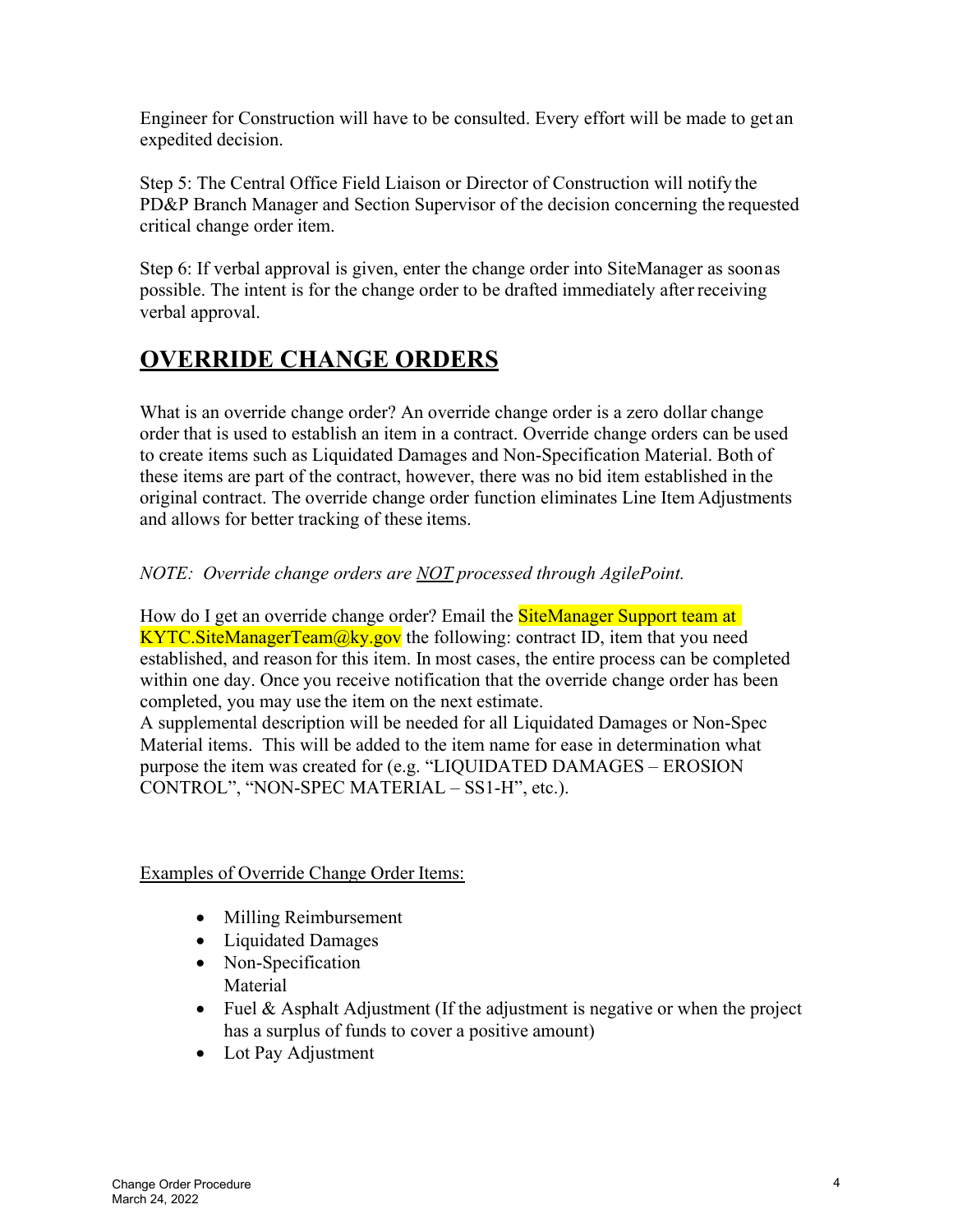Engineer for Construction will have to be consulted. Every effort will be made to get an expedited decision.

Step 5: The Central Office Field Liaison or Director of Construction will notify the PD&P Branch Manager and Section Supervisor of the decision concerning the requested critical change order item.

Step 6: If verbal approval is given, enter the change order into SiteManager as soon as possible. The intent is for the change order to be drafted immediately after receiving verbal approval.

# OVERRIDE CHANGE ORDERS

What is an override change order? An override change order is a zero dollar change order that is used to establish an item in a contract. Override change orders can be used to create items such as Liquidated Damages and Non-Specification Material. Both of these items are part of the contract, however, there was no bid item established in the original contract. The override change order function eliminates Line Item Adjustments and allows for better tracking of these items.

#### NOTE: Override change orders are NOT processed through AgilePoint.

How do I get an override change order? Email the **SiteManager Support team at KYTC. SiteManagerTeam** $@ky.gov$  the following: contract ID, item that you need established, and reason for this item. In most cases, the entire process can be completed within one day. Once you receive notification that the override change order has been completed, you may use the item on the next estimate.

A supplemental description will be needed for all Liquidated Damages or Non-Spec Material items. This will be added to the item name for ease in determination what purpose the item was created for (e.g. "LIQUIDATED DAMAGES – EROSION CONTROL", "NON-SPEC MATERIAL – SS1-H", etc.).

#### Examples of Override Change Order Items:

- Milling Reimbursement
- Liquidated Damages
- Non-Specification Material
- Fuel & Asphalt Adjustment (If the adjustment is negative or when the project has a surplus of funds to cover a positive amount)
- Lot Pay Adjustment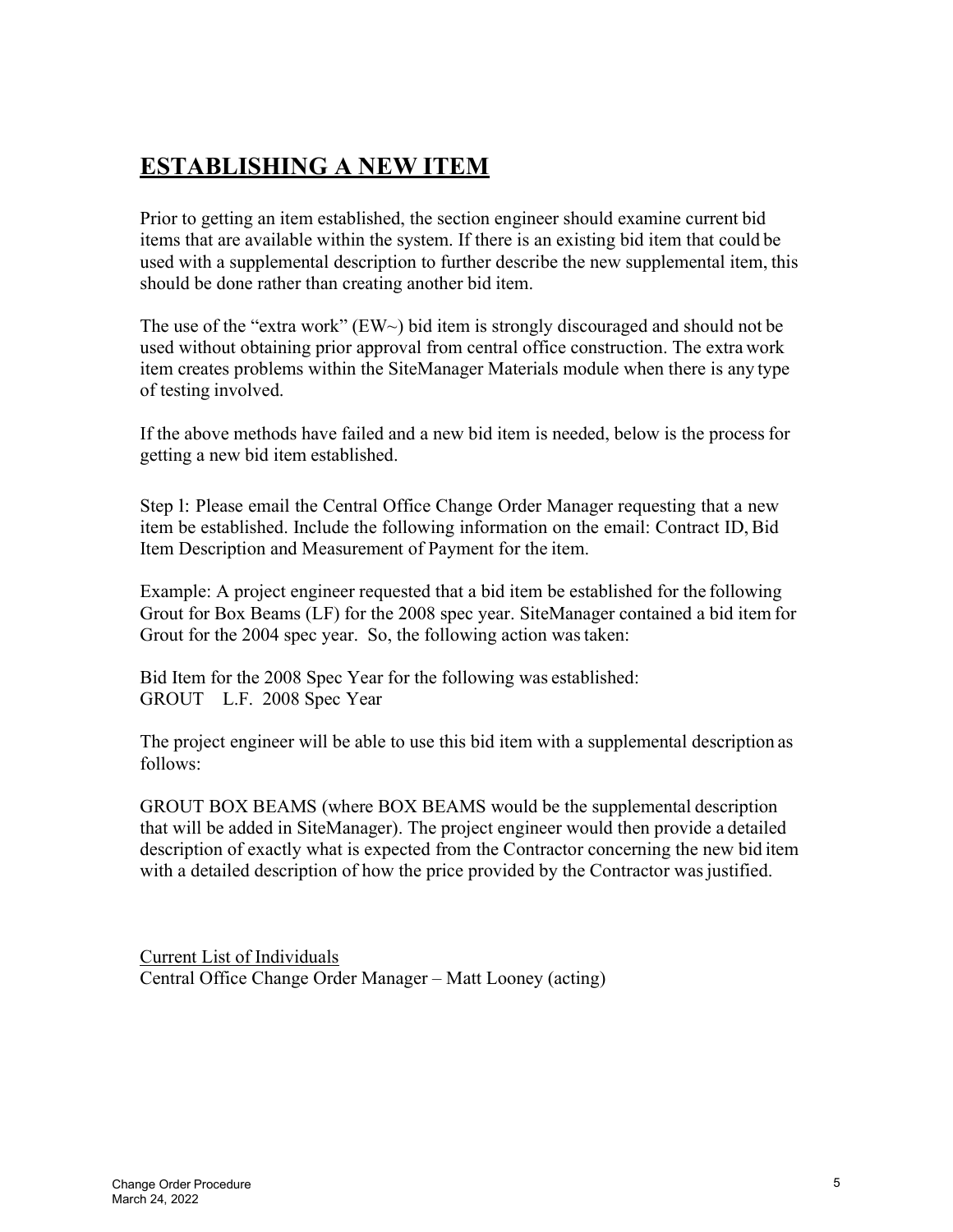# ESTABLISHING A NEW ITEM

Prior to getting an item established, the section engineer should examine current bid items that are available within the system. If there is an existing bid item that could be used with a supplemental description to further describe the new supplemental item, this should be done rather than creating another bid item.

The use of the "extra work" ( $EW\sim$ ) bid item is strongly discouraged and should not be used without obtaining prior approval from central office construction. The extra work item creates problems within the SiteManager Materials module when there is any type of testing involved.

If the above methods have failed and a new bid item is needed, below is the process for getting a new bid item established.

Step l: Please email the Central Office Change Order Manager requesting that a new item be established. Include the following information on the email: Contract ID, Bid Item Description and Measurement of Payment for the item.

Example: A project engineer requested that a bid item be established for the following Grout for Box Beams (LF) for the 2008 spec year. SiteManager contained a bid item for Grout for the 2004 spec year. So, the following action was taken:

Bid Item for the 2008 Spec Year for the following was established: GROUT L.F. 2008 Spec Year

The project engineer will be able to use this bid item with a supplemental description as follows:

GROUT BOX BEAMS (where BOX BEAMS would be the supplemental description that will be added in SiteManager). The project engineer would then provide a detailed description of exactly what is expected from the Contractor concerning the new bid item with a detailed description of how the price provided by the Contractor was justified.

Current List of Individuals Central Office Change Order Manager – Matt Looney (acting)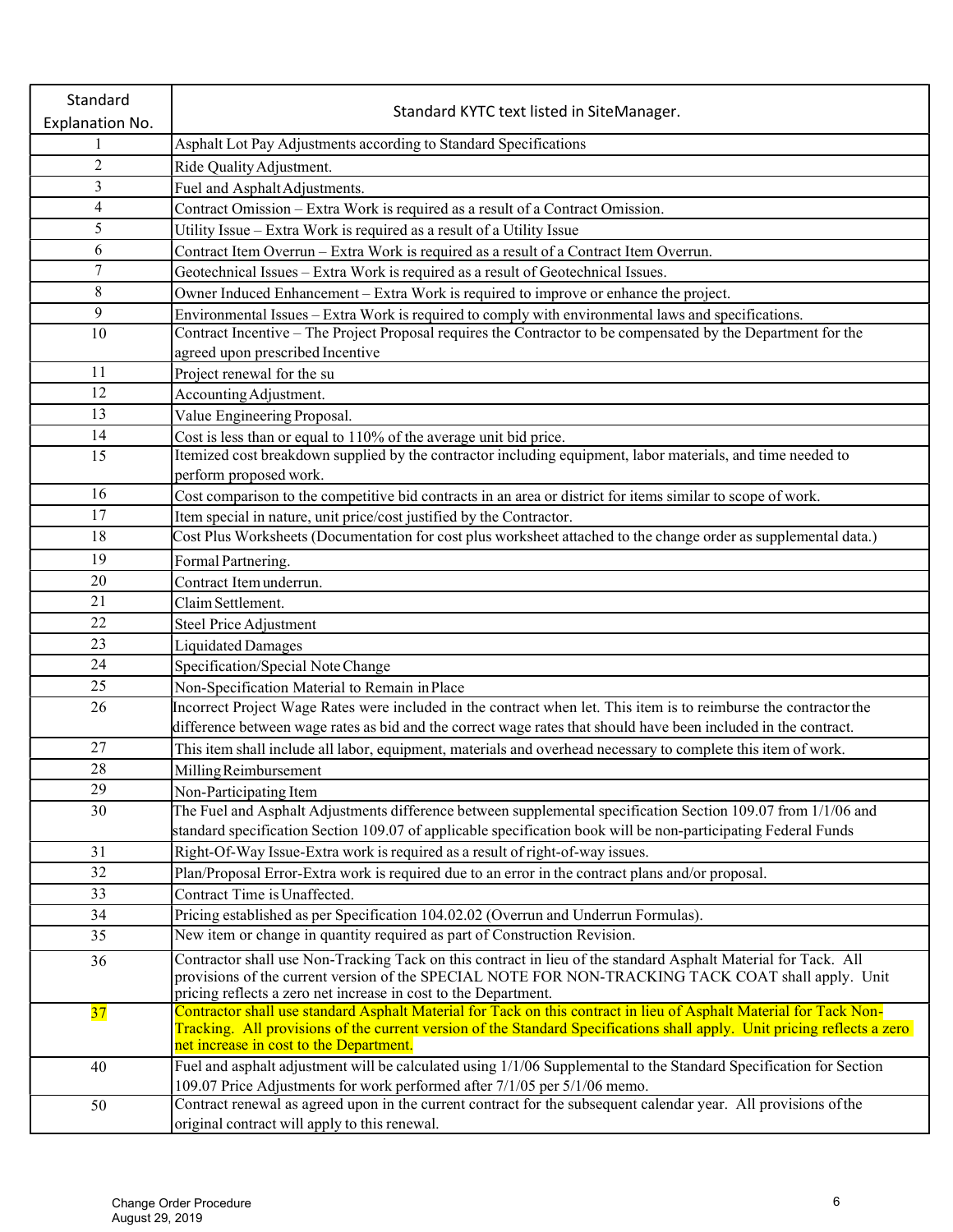| Standard        | Standard KYTC text listed in SiteManager.                                                                                                                                                                                                      |
|-----------------|------------------------------------------------------------------------------------------------------------------------------------------------------------------------------------------------------------------------------------------------|
| Explanation No. |                                                                                                                                                                                                                                                |
|                 | Asphalt Lot Pay Adjustments according to Standard Specifications                                                                                                                                                                               |
| $\overline{2}$  | Ride Quality Adjustment.                                                                                                                                                                                                                       |
| 3               | Fuel and Asphalt Adjustments.                                                                                                                                                                                                                  |
| $\overline{4}$  | Contract Omission - Extra Work is required as a result of a Contract Omission.                                                                                                                                                                 |
| 5               | Utility Issue - Extra Work is required as a result of a Utility Issue                                                                                                                                                                          |
| 6               | Contract Item Overrun - Extra Work is required as a result of a Contract Item Overrun.                                                                                                                                                         |
| $\tau$          | Geotechnical Issues - Extra Work is required as a result of Geotechnical Issues.                                                                                                                                                               |
| $\,8\,$         | Owner Induced Enhancement - Extra Work is required to improve or enhance the project.                                                                                                                                                          |
| 9               | Environmental Issues – Extra Work is required to comply with environmental laws and specifications.                                                                                                                                            |
| 10              | Contract Incentive – The Project Proposal requires the Contractor to be compensated by the Department for the                                                                                                                                  |
|                 | agreed upon prescribed Incentive                                                                                                                                                                                                               |
| 11              | Project renewal for the su                                                                                                                                                                                                                     |
| 12              | Accounting Adjustment.                                                                                                                                                                                                                         |
| 13              | Value Engineering Proposal.                                                                                                                                                                                                                    |
| 14              | Cost is less than or equal to 110% of the average unit bid price.                                                                                                                                                                              |
| 15              | Itemized cost breakdown supplied by the contractor including equipment, labor materials, and time needed to                                                                                                                                    |
|                 | perform proposed work.                                                                                                                                                                                                                         |
| 16              | Cost comparison to the competitive bid contracts in an area or district for items similar to scope of work.                                                                                                                                    |
| 17              | Item special in nature, unit price/cost justified by the Contractor.                                                                                                                                                                           |
| 18              | Cost Plus Worksheets (Documentation for cost plus worksheet attached to the change order as supplemental data.)                                                                                                                                |
| 19              | Formal Partnering.                                                                                                                                                                                                                             |
| 20              | Contract Item underrun.                                                                                                                                                                                                                        |
| 21              | Claim Settlement.                                                                                                                                                                                                                              |
| 22              | Steel Price Adjustment                                                                                                                                                                                                                         |
| 23              | Liquidated Damages                                                                                                                                                                                                                             |
| 24              | Specification/Special Note Change                                                                                                                                                                                                              |
| 25              | Non-Specification Material to Remain in Place                                                                                                                                                                                                  |
| 26              | Incorrect Project Wage Rates were included in the contract when let. This item is to reimburse the contractor the                                                                                                                              |
|                 | difference between wage rates as bid and the correct wage rates that should have been included in the contract.                                                                                                                                |
| 27              | This item shall include all labor, equipment, materials and overhead necessary to complete this item of work.                                                                                                                                  |
| 28              | Milling Reimbursement                                                                                                                                                                                                                          |
| 29              | Non-Participating Item                                                                                                                                                                                                                         |
| 30              | The Fuel and Asphalt Adjustments difference between supplemental specification Section 109.07 from 1/1/06 and                                                                                                                                  |
|                 | standard specification Section 109.07 of applicable specification book will be non-participating Federal Funds                                                                                                                                 |
| 31              | Right-Of-Way Issue-Extra work is required as a result of right-of-way issues.                                                                                                                                                                  |
| 32              | Plan/Proposal Error-Extra work is required due to an error in the contract plans and/or proposal.                                                                                                                                              |
| 33              | Contract Time is Unaffected.                                                                                                                                                                                                                   |
| 34              | Pricing established as per Specification 104.02.02 (Overrun and Underrun Formulas).                                                                                                                                                            |
| 35              | New item or change in quantity required as part of Construction Revision.                                                                                                                                                                      |
| 36              | Contractor shall use Non-Tracking Tack on this contract in lieu of the standard Asphalt Material for Tack. All                                                                                                                                 |
|                 | provisions of the current version of the SPECIAL NOTE FOR NON-TRACKING TACK COAT shall apply. Unit                                                                                                                                             |
|                 | pricing reflects a zero net increase in cost to the Department.                                                                                                                                                                                |
| 37              | Contractor shall use standard Asphalt Material for Tack on this contract in lieu of Asphalt Material for Tack Non-<br>Tracking. All provisions of the current version of the Standard Specifications shall apply. Unit pricing reflects a zero |
|                 | net increase in cost to the Department.                                                                                                                                                                                                        |
| 40              | Fuel and asphalt adjustment will be calculated using 1/1/06 Supplemental to the Standard Specification for Section                                                                                                                             |
|                 | 109.07 Price Adjustments for work performed after 7/1/05 per 5/1/06 memo.                                                                                                                                                                      |
| 50              | Contract renewal as agreed upon in the current contract for the subsequent calendar year. All provisions of the                                                                                                                                |
|                 | original contract will apply to this renewal.                                                                                                                                                                                                  |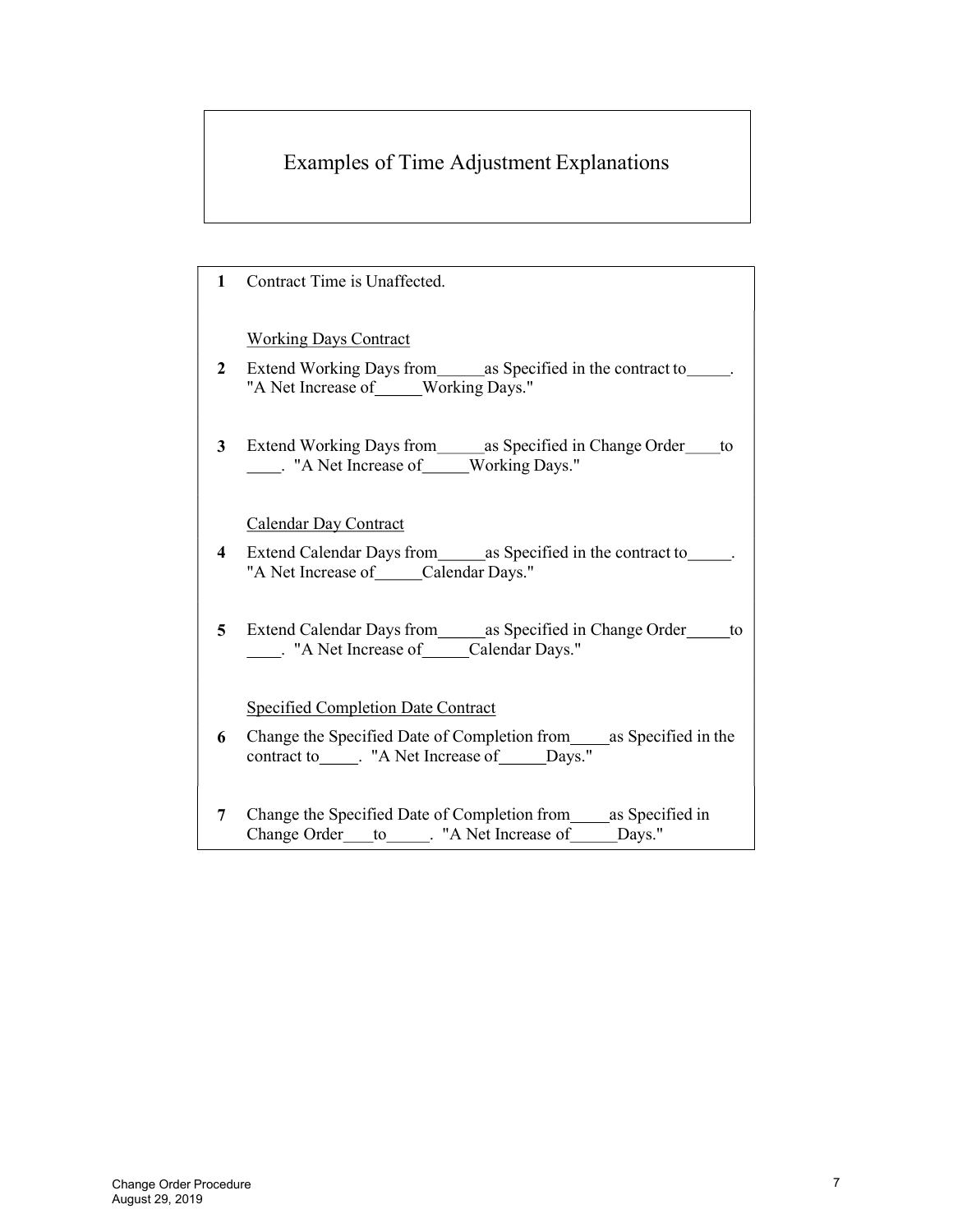# Examples of Time Adjustment Explanations

| 1                       | Contract Time is Unaffected.                                                                                                     |
|-------------------------|----------------------------------------------------------------------------------------------------------------------------------|
|                         | <b>Working Days Contract</b>                                                                                                     |
| 2                       | Extend Working Days from _______ as Specified in the contract to _______.<br>"A Net Increase of____Working Days."                |
| 3 <sup>1</sup>          | Extend Working Days from_______ as Specified in Change Order_____ to                                                             |
|                         | Calendar Day Contract                                                                                                            |
| $\overline{\mathbf{4}}$ | Extend Calendar Days from ________ as Specified in the contract to _______.<br>"A Net Increase of_____Calendar Days."            |
| 5 <sup>5</sup>          | Extend Calendar Days from________ as Specified in Change Order_______ to                                                         |
|                         | <b>Specified Completion Date Contract</b>                                                                                        |
| 6                       | Change the Specified Date of Completion from_____as Specified in the<br>contract to _____. "A Net Increase of _____Days."        |
| 7                       | Change the Specified Date of Completion from _______ as Specified in<br>Change Order____to______. "A Net Increase of______Days." |